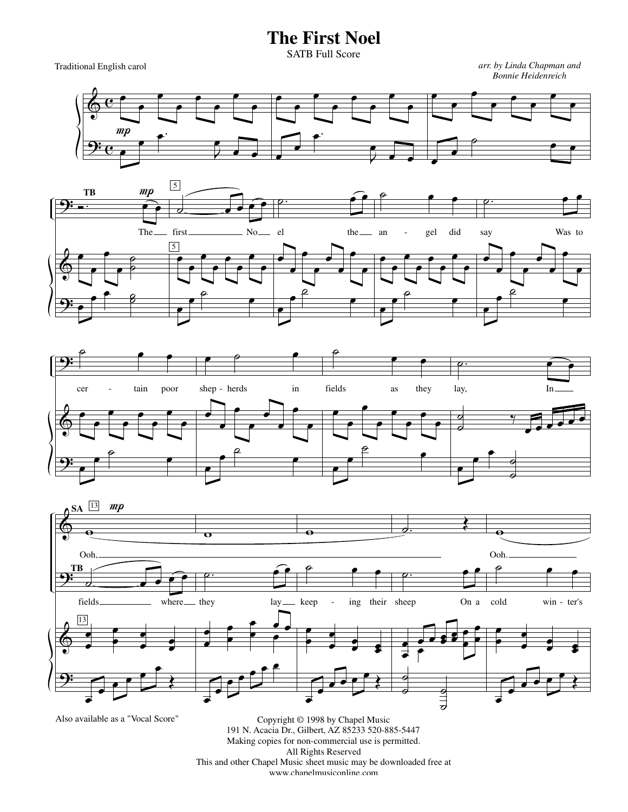## **The First Noel**

SATB Full Score

Traditional English carol

*arr. by Linda Chapman and Bonnie Heidenreich*









Also available as a "Vocal Score"

Copyright © 1998 by Chapel Music 191 N. Acacia Dr., Gilbert, AZ 85233 520-885-5447 Making copies for non-commercial use is permitted. All Rights Reserved This and other Chapel Music sheet music may be downloaded free at www.chapelmusiconline.com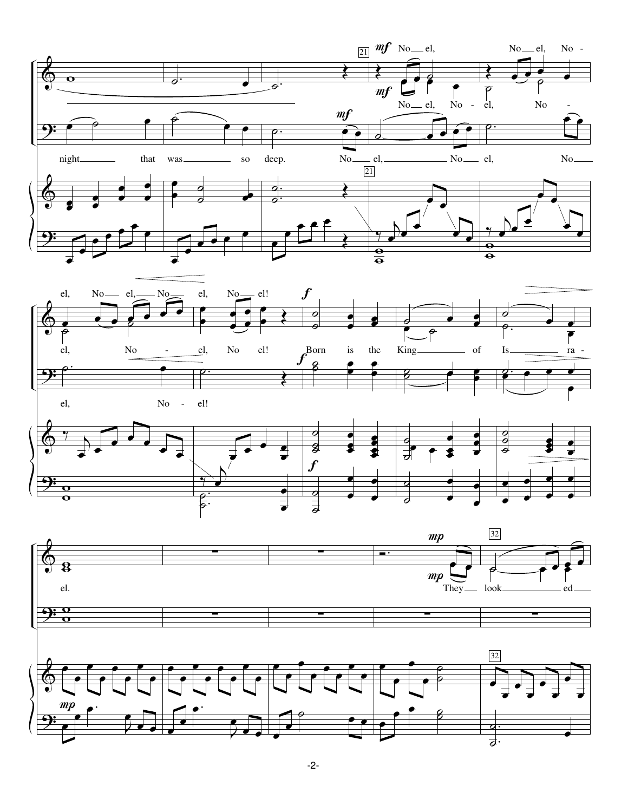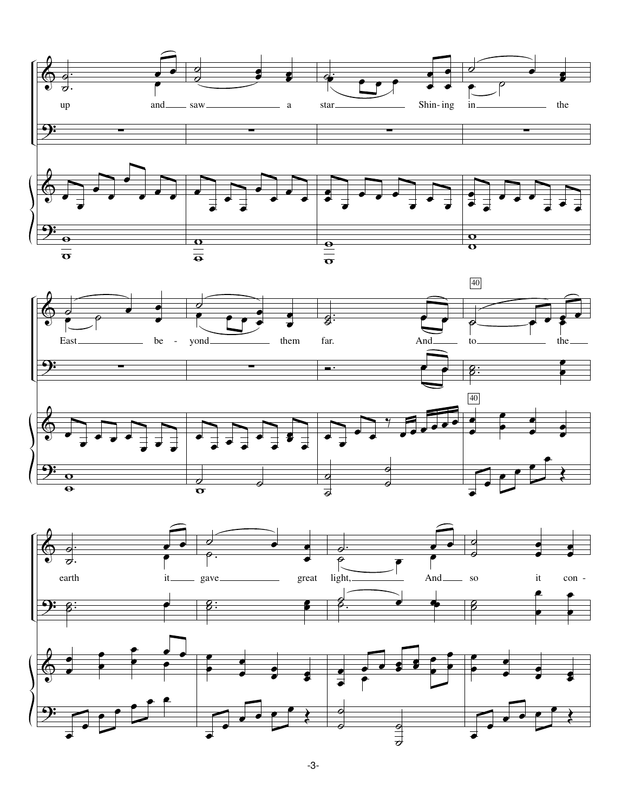